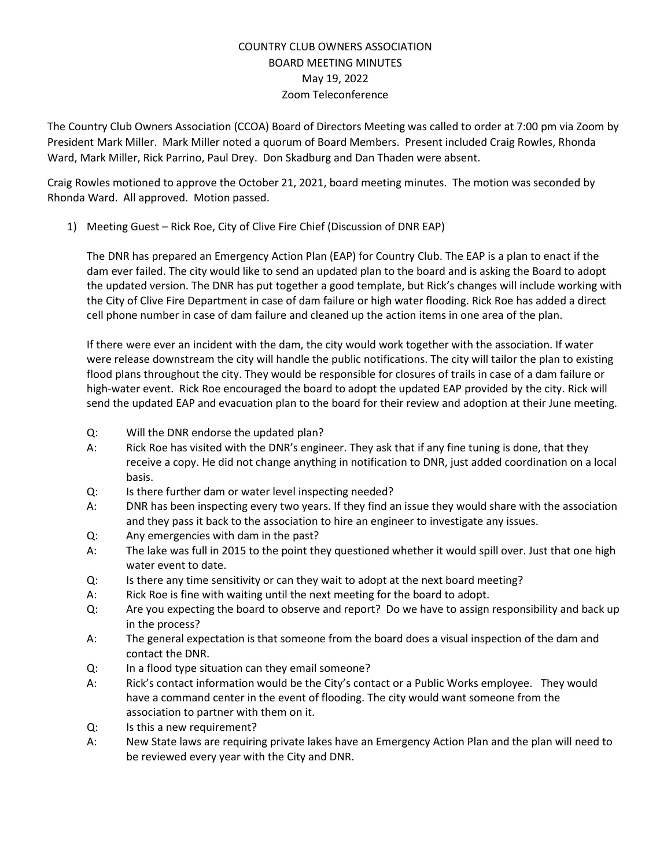# COUNTRY CLUB OWNERS ASSOCIATION BOARD MEETING MINUTES May 19, 2022 Zoom Teleconference

The Country Club Owners Association (CCOA) Board of Directors Meeting was called to order at 7:00 pm via Zoom by President Mark Miller. Mark Miller noted a quorum of Board Members. Present included Craig Rowles, Rhonda Ward, Mark Miller, Rick Parrino, Paul Drey. Don Skadburg and Dan Thaden were absent.

Craig Rowles motioned to approve the October 21, 2021, board meeting minutes. The motion was seconded by Rhonda Ward. All approved. Motion passed.

1) Meeting Guest – Rick Roe, City of Clive Fire Chief (Discussion of DNR EAP)

The DNR has prepared an Emergency Action Plan (EAP) for Country Club. The EAP is a plan to enact if the dam ever failed. The city would like to send an updated plan to the board and is asking the Board to adopt the updated version. The DNR has put together a good template, but Rick's changes will include working with the City of Clive Fire Department in case of dam failure or high water flooding. Rick Roe has added a direct cell phone number in case of dam failure and cleaned up the action items in one area of the plan.

If there were ever an incident with the dam, the city would work together with the association. If water were release downstream the city will handle the public notifications. The city will tailor the plan to existing flood plans throughout the city. They would be responsible for closures of trails in case of a dam failure or high-water event. Rick Roe encouraged the board to adopt the updated EAP provided by the city. Rick will send the updated EAP and evacuation plan to the board for their review and adoption at their June meeting.

- Q: Will the DNR endorse the updated plan?
- A: Rick Roe has visited with the DNR's engineer. They ask that if any fine tuning is done, that they receive a copy. He did not change anything in notification to DNR, just added coordination on a local basis.
- Q: Is there further dam or water level inspecting needed?
- A: DNR has been inspecting every two years. If they find an issue they would share with the association and they pass it back to the association to hire an engineer to investigate any issues.
- Q: Any emergencies with dam in the past?
- A: The lake was full in 2015 to the point they questioned whether it would spill over. Just that one high water event to date.
- Q: Is there any time sensitivity or can they wait to adopt at the next board meeting?
- A: Rick Roe is fine with waiting until the next meeting for the board to adopt.
- Q: Are you expecting the board to observe and report? Do we have to assign responsibility and back up in the process?
- A: The general expectation is that someone from the board does a visual inspection of the dam and contact the DNR.
- Q: In a flood type situation can they email someone?
- A: Rick's contact information would be the City's contact or a Public Works employee. They would have a command center in the event of flooding. The city would want someone from the association to partner with them on it.
- Q: Is this a new requirement?
- A: New State laws are requiring private lakes have an Emergency Action Plan and the plan will need to be reviewed every year with the City and DNR.